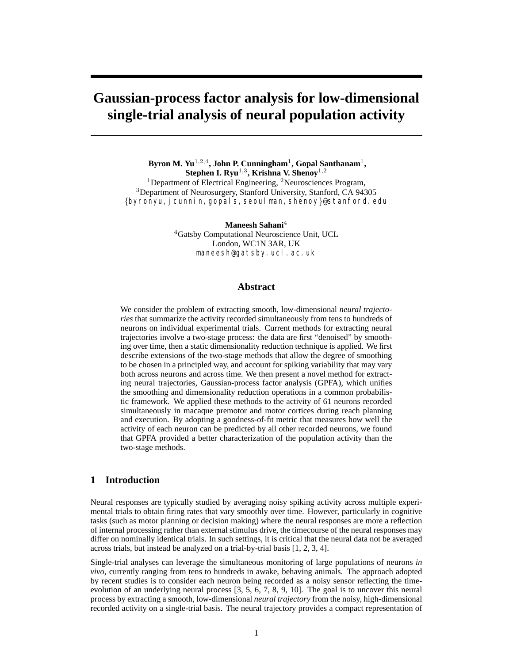# **Gaussian-process factor analysis for low-dimensional single-trial analysis of neural population activity**

**Byron M. Yu**1*,*2*,*4**, John P. Cunningham**1**, Gopal Santhanam**1**, Stephen I. Ryu**1*,*3**, Krishna V. Shenoy**1*,*<sup>2</sup> <sup>1</sup>Department of Electrical Engineering, <sup>2</sup>Neurosciences Program, <sup>3</sup>Department of Neurosurgery, Stanford University, Stanford, CA 94305 {byronyu,jcunnin,gopals,seoulman,shenoy}@stanford.edu

**Maneesh Sahani**<sup>4</sup>

<sup>4</sup>Gatsby Computational Neuroscience Unit, UCL London, WC1N 3AR, UK maneesh@gatsby.ucl.ac.uk

## **Abstract**

We consider the problem of extracting smooth, low-dimensional *neural trajectories* that summarize the activity recorded simultaneously from tens to hundreds of neurons on individual experimental trials. Current methods for extracting neural trajectories involve a two-stage process: the data are first "denoised" by smoothing over time, then a static dimensionality reduction technique is applied. We first describe extensions of the two-stage methods that allow the degree of smoothing to be chosen in a principled way, and account for spiking variability that may vary both across neurons and across time. We then present a novel method for extracting neural trajectories, Gaussian-process factor analysis (GPFA), which unifies the smoothing and dimensionality reduction operations in a common probabilistic framework. We applied these methods to the activity of 61 neurons recorded simultaneously in macaque premotor and motor cortices during reach planning and execution. By adopting a goodness-of-fit metric that measures how well the activity of each neuron can be predicted by all other recorded neurons, we found that GPFA provided a better characterization of the population activity than the two-stage methods.

# **1 Introduction**

Neural responses are typically studied by averaging noisy spiking activity across multiple experimental trials to obtain firing rates that vary smoothly over time. However, particularly in cognitive tasks (such as motor planning or decision making) where the neural responses are more a reflection of internal processing rather than external stimulus drive, the timecourse of the neural responses may differ on nominally identical trials. In such settings, it is critical that the neural data not be averaged across trials, but instead be analyzed on a trial-by-trial basis [1, 2, 3, 4].

Single-trial analyses can leverage the simultaneous monitoring of large populations of neurons *in vivo*, currently ranging from tens to hundreds in awake, behaving animals. The approach adopted by recent studies is to consider each neuron being recorded as a noisy sensor reflecting the timeevolution of an underlying neural process [3, 5, 6, 7, 8, 9, 10]. The goal is to uncover this neural process by extracting a smooth, low-dimensional *neural trajectory* from the noisy, high-dimensional recorded activity on a single-trial basis. The neural trajectory provides a compact representation of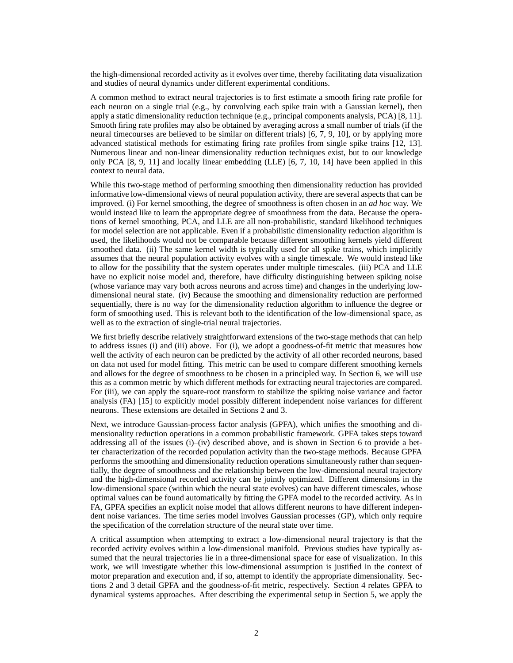the high-dimensional recorded activity as it evolves over time, thereby facilitating data visualization and studies of neural dynamics under different experimental conditions.

A common method to extract neural trajectories is to first estimate a smooth firing rate profile for each neuron on a single trial (e.g., by convolving each spike train with a Gaussian kernel), then apply a static dimensionality reduction technique (e.g., principal components analysis, PCA) [8, 11]. Smooth firing rate profiles may also be obtained by averaging across a small number of trials (if the neural timecourses are believed to be similar on different trials) [6, 7, 9, 10], or by applying more advanced statistical methods for estimating firing rate profiles from single spike trains [12, 13]. Numerous linear and non-linear dimensionality reduction techniques exist, but to our knowledge only PCA [8, 9, 11] and locally linear embedding (LLE) [6, 7, 10, 14] have been applied in this context to neural data.

While this two-stage method of performing smoothing then dimensionality reduction has provided informative low-dimensional views of neural population activity, there are several aspects that can be improved. (i) For kernel smoothing, the degree of smoothness is often chosen in an *ad hoc* way. We would instead like to learn the appropriate degree of smoothness from the data. Because the operations of kernel smoothing, PCA, and LLE are all non-probabilistic, standard likelihood techniques for model selection are not applicable. Even if a probabilistic dimensionality reduction algorithm is used, the likelihoods would not be comparable because different smoothing kernels yield different smoothed data. (ii) The same kernel width is typically used for all spike trains, which implicitly assumes that the neural population activity evolves with a single timescale. We would instead like to allow for the possibility that the system operates under multiple timescales. (iii) PCA and LLE have no explicit noise model and, therefore, have difficulty distinguishing between spiking noise (whose variance may vary both across neurons and across time) and changes in the underlying lowdimensional neural state. (iv) Because the smoothing and dimensionality reduction are performed sequentially, there is no way for the dimensionality reduction algorithm to influence the degree or form of smoothing used. This is relevant both to the identification of the low-dimensional space, as well as to the extraction of single-trial neural trajectories.

We first briefly describe relatively straightforward extensions of the two-stage methods that can help to address issues (i) and (iii) above. For (i), we adopt a goodness-of-fit metric that measures how well the activity of each neuron can be predicted by the activity of all other recorded neurons, based on data not used for model fitting. This metric can be used to compare different smoothing kernels and allows for the degree of smoothness to be chosen in a principled way. In Section 6, we will use this as a common metric by which different methods for extracting neural trajectories are compared. For (iii), we can apply the square-root transform to stabilize the spiking noise variance and factor analysis (FA) [15] to explicitly model possibly different independent noise variances for different neurons. These extensions are detailed in Sections 2 and 3.

Next, we introduce Gaussian-process factor analysis (GPFA), which unifies the smoothing and dimensionality reduction operations in a common probabilistic framework. GPFA takes steps toward addressing all of the issues (i)–(iv) described above, and is shown in Section 6 to provide a better characterization of the recorded population activity than the two-stage methods. Because GPFA performs the smoothing and dimensionality reduction operations simultaneously rather than sequentially, the degree of smoothness and the relationship between the low-dimensional neural trajectory and the high-dimensional recorded activity can be jointly optimized. Different dimensions in the low-dimensional space (within which the neural state evolves) can have different timescales, whose optimal values can be found automatically by fitting the GPFA model to the recorded activity. As in FA, GPFA specifies an explicit noise model that allows different neurons to have different independent noise variances. The time series model involves Gaussian processes (GP), which only require the specification of the correlation structure of the neural state over time.

A critical assumption when attempting to extract a low-dimensional neural trajectory is that the recorded activity evolves within a low-dimensional manifold. Previous studies have typically assumed that the neural trajectories lie in a three-dimensional space for ease of visualization. In this work, we will investigate whether this low-dimensional assumption is justified in the context of motor preparation and execution and, if so, attempt to identify the appropriate dimensionality. Sections 2 and 3 detail GPFA and the goodness-of-fit metric, respectively. Section 4 relates GPFA to dynamical systems approaches. After describing the experimental setup in Section 5, we apply the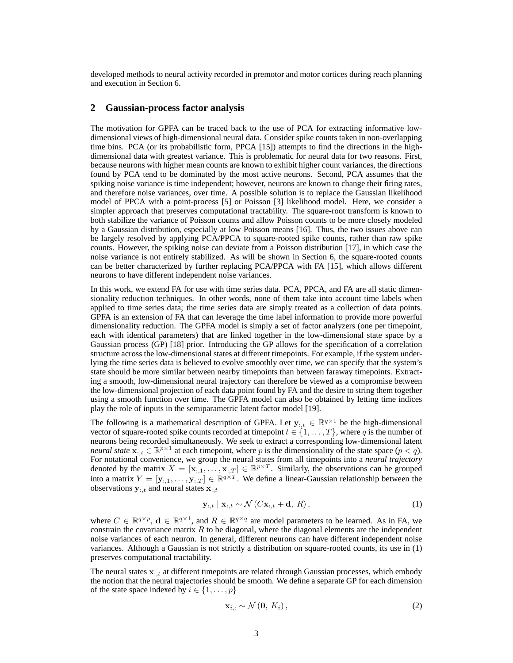developed methods to neural activity recorded in premotor and motor cortices during reach planning and execution in Section 6.

#### **2 Gaussian-process factor analysis**

The motivation for GPFA can be traced back to the use of PCA for extracting informative lowdimensional views of high-dimensional neural data. Consider spike counts taken in non-overlapping time bins. PCA (or its probabilistic form, PPCA [15]) attempts to find the directions in the highdimensional data with greatest variance. This is problematic for neural data for two reasons. First, because neurons with higher mean counts are known to exhibit higher count variances, the directions found by PCA tend to be dominated by the most active neurons. Second, PCA assumes that the spiking noise variance is time independent; however, neurons are known to change their firing rates, and therefore noise variances, over time. A possible solution is to replace the Gaussian likelihood model of PPCA with a point-process [5] or Poisson [3] likelihood model. Here, we consider a simpler approach that preserves computational tractability. The square-root transform is known to both stabilize the variance of Poisson counts and allow Poisson counts to be more closely modeled by a Gaussian distribution, especially at low Poisson means [16]. Thus, the two issues above can be largely resolved by applying PCA/PPCA to square-rooted spike counts, rather than raw spike counts. However, the spiking noise can deviate from a Poisson distribution [17], in which case the noise variance is not entirely stabilized. As will be shown in Section 6, the square-rooted counts can be better characterized by further replacing PCA/PPCA with FA [15], which allows different neurons to have different independent noise variances.

In this work, we extend FA for use with time series data. PCA, PPCA, and FA are all static dimensionality reduction techniques. In other words, none of them take into account time labels when applied to time series data; the time series data are simply treated as a collection of data points. GPFA is an extension of FA that can leverage the time label information to provide more powerful dimensionality reduction. The GPFA model is simply a set of factor analyzers (one per timepoint, each with identical parameters) that are linked together in the low-dimensional state space by a Gaussian process (GP) [18] prior. Introducing the GP allows for the specification of a correlation structure across the low-dimensional states at different timepoints. For example, if the system underlying the time series data is believed to evolve smoothly over time, we can specify that the system's state should be more similar between nearby timepoints than between faraway timepoints. Extracting a smooth, low-dimensional neural trajectory can therefore be viewed as a compromise between the low-dimensional projection of each data point found by FA and the desire to string them together using a smooth function over time. The GPFA model can also be obtained by letting time indices play the role of inputs in the semiparametric latent factor model [19].

The following is a mathematical description of GPFA. Let  $y_{:,t} \in \mathbb{R}^{q \times 1}$  be the high-dimensional vector of square-rooted spike counts recorded at timepoint  $t \in \{1, ..., T\}$ , where q is the number of neurons being recorded simultaneously. We seek to extract a corresponding low-dimensional latent *neural state*  $\mathbf{x}_{:,t} \in \mathbb{R}^{p \times 1}$  at each timepoint, where p is the dimensionality of the state space  $(p < q)$ . For notational convenience, we group the neural states from all timepoints into a *neural trajectory* denoted by the matrix  $X = [\mathbf{x}_{:,1}, \dots, \mathbf{x}_{:,T}] \in \mathbb{R}^{p \times T}$ . Similarly, the observations can be grouped into a matrix  $Y = [\mathbf{y}_{:,1}, \dots, \mathbf{y}_{:,T}] \in \mathbb{R}^{q \times T}$ . We define a linear-Gaussian relationship between the observations  $\mathbf{y}_{:t}$  and neural states  $\mathbf{x}_{:t}$ 

$$
\mathbf{y}_{:,t} \mid \mathbf{x}_{:,t} \sim \mathcal{N}(C\mathbf{x}_{:,t} + \mathbf{d}, R), \tag{1}
$$

where  $C \in \mathbb{R}^{q \times p}$ ,  $d \in \mathbb{R}^{q \times 1}$ , and  $R \in \mathbb{R}^{q \times q}$  are model parameters to be learned. As in FA, we constrain the covariance matrix  $R$  to be diagonal, where the diagonal elements are the independent noise variances of each neuron. In general, different neurons can have different independent noise variances. Although a Gaussian is not strictly a distribution on square-rooted counts, its use in (1) preserves computational tractability.

The neural states **x**:*,t* at different timepoints are related through Gaussian processes, which embody the notion that the neural trajectories should be smooth. We define a separate GP for each dimension of the state space indexed by  $i \in \{1, \ldots, p\}$ 

$$
\mathbf{x}_{i,:} \sim \mathcal{N}\left(\mathbf{0},\, K_i\right),\tag{2}
$$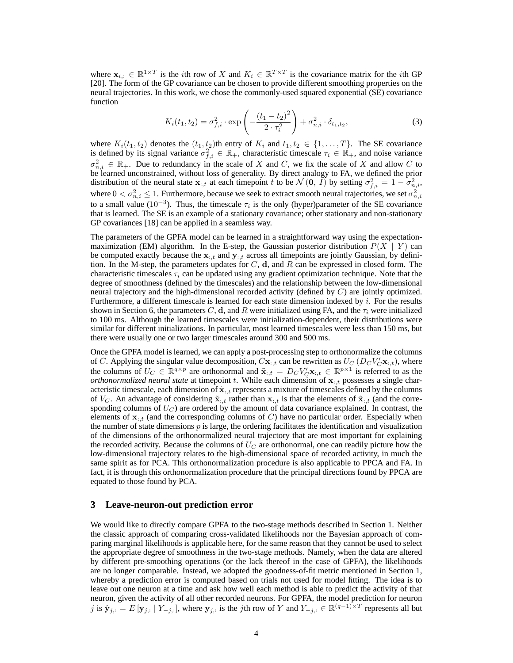where  $\mathbf{x}_{i,:} \in \mathbb{R}^{1 \times T}$  is the *i*th row of X and  $K_i \in \mathbb{R}^{T \times T}$  is the covariance matrix for the *i*th GP [20]. The form of the GP covariance can be chosen to provide different smoothing properties on the neural trajectories. In this work, we chose the commonly-used squared exponential (SE) covariance function

$$
K_i(t_1, t_2) = \sigma_{f,i}^2 \cdot \exp\left(-\frac{(t_1 - t_2)^2}{2 \cdot \tau_i^2}\right) + \sigma_{n,i}^2 \cdot \delta_{t_1, t_2},\tag{3}
$$

where  $K_i(t_1, t_2)$  denotes the  $(t_1, t_2)$ th entry of  $K_i$  and  $t_1, t_2 \in \{1, \ldots, T\}$ . The SE covariance is defined by its signal variance  $\sigma_{f,i}^2 \in \mathbb{R}_+$ , characteristic timescale  $\tau_i \in \mathbb{R}_+$ , and noise variance  $\sigma_{n,i}^2 \in \mathbb{R}_+$ . Due to redundancy in the scale of X and C, we fix the scale of X and allow C to be learned unconstrained, without loss of generality. By direct analogy to FA, we defined the prior distribution of the neural state  $\mathbf{x}_{i,t}$  at each timepoint t to be  $\mathcal{N}(\mathbf{0}, \vec{I})$  by setting  $\sigma_{f,i}^2 = 1 - \sigma_{n,i}^2$ , where  $0 < \sigma_{n,i}^2 \le 1$ . Furthermore, because we seek to extract smooth neural trajectories, we set  $\sigma_{n,i}^2$ to a small value ( $10^{-3}$ ). Thus, the timescale  $\tau_i$  is the only (hyper)parameter of the SE covariance that is learned. The SE is an example of a stationary covariance; other stationary and non-stationary GP covariances [18] can be applied in a seamless way.

The parameters of the GPFA model can be learned in a straightforward way using the expectationmaximization (EM) algorithm. In the E-step, the Gaussian posterior distribution  $P(X | Y)$  can be computed exactly because the  $\mathbf{x}_{i,t}$  and  $\mathbf{y}_{i,t}$  across all timepoints are jointly Gaussian, by definition. In the M-step, the parameters updates for C, **d**, and R can be expressed in closed form. The characteristic timescales  $\tau_i$  can be updated using any gradient optimization technique. Note that the degree of smoothness (defined by the timescales) and the relationship between the low-dimensional neural trajectory and the high-dimensional recorded activity (defined by  $C$ ) are jointly optimized. Furthermore, a different timescale is learned for each state dimension indexed by  $i$ . For the results shown in Section 6, the parameters C, **d**, and R were initialized using FA, and the  $\tau_i$  were initialized to 100 ms. Although the learned timescales were initialization-dependent, their distributions were similar for different initializations. In particular, most learned timescales were less than 150 ms, but there were usually one or two larger timescales around 300 and 500 ms.

Once the GPFA model is learned, we can apply a post-processing step to orthonormalize the columns of C. Applying the singular value decomposition,  $C\mathbf{x}_{:t}$  can be rewritten as  $U_C(D_C V_C' \mathbf{x}_{:t})$ , where the columns of  $U_C \in \mathbb{R}^{q \times p}$  are orthonormal and  $\tilde{\mathbf{x}}_{:,t} = D_C V_C' \mathbf{x}_{:,t} \in \mathbb{R}^{p \times 1}$  is referred to as the *orthonormalized neural state* at timepoint t. While each dimension of **x**:*,t* possesses a single characteristic timescale, each dimension of  $\tilde{\mathbf{x}}_{i,t}$  represents a mixture of timescales defined by the columns of  $V_C$ . An advantage of considering  $\tilde{\mathbf{x}}_{:,t}$  rather than  $\mathbf{x}_{:,t}$  is that the elements of  $\tilde{\mathbf{x}}_{:,t}$  (and the corresponding columns of U*<sup>C</sup>* ) are ordered by the amount of data covariance explained. In contrast, the elements of  $\mathbf{x}_{i,t}$  (and the corresponding columns of C) have no particular order. Especially when the number of state dimensions  $p$  is large, the ordering facilitates the identification and visualization of the dimensions of the orthonormalized neural trajectory that are most important for explaining the recorded activity. Because the columns of  $U_C$  are orthonormal, one can readily picture how the low-dimensional trajectory relates to the high-dimensional space of recorded activity, in much the same spirit as for PCA. This orthonormalization procedure is also applicable to PPCA and FA. In fact, it is through this orthonormalization procedure that the principal directions found by PPCA are equated to those found by PCA.

#### **3 Leave-neuron-out prediction error**

We would like to directly compare GPFA to the two-stage methods described in Section 1. Neither the classic approach of comparing cross-validated likelihoods nor the Bayesian approach of comparing marginal likelihoods is applicable here, for the same reason that they cannot be used to select the appropriate degree of smoothness in the two-stage methods. Namely, when the data are altered by different pre-smoothing operations (or the lack thereof in the case of GPFA), the likelihoods are no longer comparable. Instead, we adopted the goodness-of-fit metric mentioned in Section 1, whereby a prediction error is computed based on trials not used for model fitting. The idea is to leave out one neuron at a time and ask how well each method is able to predict the activity of that neuron, given the activity of all other recorded neurons. For GPFA, the model prediction for neuron *j* is  $\hat{\mathbf{y}}_{j,:} = E[\mathbf{y}_{j,:} | Y_{-j,:}],$  where  $\mathbf{y}_{j,:}$  is the *j*th row of Y and  $Y_{-j,:} \in \mathbb{R}^{(q-1)\times T}$  represents all but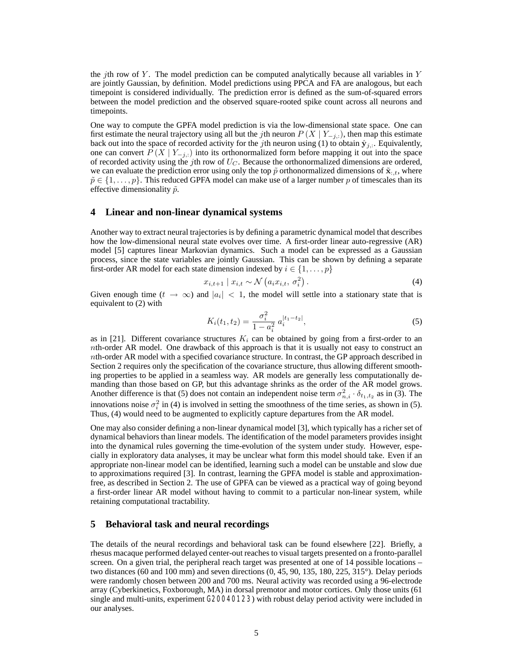the jth row of Y. The model prediction can be computed analytically because all variables in Y are jointly Gaussian, by definition. Model predictions using PPCA and FA are analogous, but each timepoint is considered individually. The prediction error is defined as the sum-of-squared errors between the model prediction and the observed square-rooted spike count across all neurons and timepoints.

One way to compute the GPFA model prediction is via the low-dimensional state space. One can first estimate the neural trajectory using all but the *j*th neuron  $P(X | Y_{-i,:})$ , then map this estimate back out into the space of recorded activity for the *j*th neuron using (1) to obtain  $\hat{\mathbf{y}}_{i,:}$ . Equivalently, one can convert  $P(X | Y_{-i,:})$  into its orthonormalized form before mapping it out into the space of recorded activity using the jth row of U*<sup>C</sup>* . Because the orthonormalized dimensions are ordered, we can evaluate the prediction error using only the top  $\tilde{p}$  orthonormalized dimensions of  $\tilde{\mathbf{x}}_{:,t}$ , where  $\tilde{p} \in \{1,\ldots,p\}$ . This reduced GPFA model can make use of a larger number p of timescales than its effective dimensionality  $\tilde{p}$ .

## **4 Linear and non-linear dynamical systems**

Another way to extract neural trajectories is by defining a parametric dynamical model that describes how the low-dimensional neural state evolves over time. A first-order linear auto-regressive (AR) model [5] captures linear Markovian dynamics. Such a model can be expressed as a Gaussian process, since the state variables are jointly Gaussian. This can be shown by defining a separate first-order AR model for each state dimension indexed by  $i \in \{1, \ldots, p\}$ 

$$
x_{i,t+1} \mid x_{i,t} \sim \mathcal{N}\left(a_i x_{i,t}, \sigma_i^2\right). \tag{4}
$$

Given enough time  $(t \to \infty)$  and  $|a_i| < 1$ , the model will settle into a stationary state that is equivalent to (2) with

$$
K_i(t_1, t_2) = \frac{\sigma_i^2}{1 - a_i^2} a_i^{|t_1 - t_2|},\tag{5}
$$

as in [21]. Different covariance structures  $K_i$  can be obtained by going from a first-order to an nth-order AR model. One drawback of this approach is that it is usually not easy to construct an nth-order AR model with a specified covariance structure. In contrast, the GP approach described in Section 2 requires only the specification of the covariance structure, thus allowing different smoothing properties to be applied in a seamless way. AR models are generally less computationally demanding than those based on GP, but this advantage shrinks as the order of the AR model grows. Another difference is that (5) does not contain an independent noise term  $\sigma_{n,i}^2 \cdot \delta_{t_1,t_2}$  as in (3). The innovations noise  $\sigma_i^2$  in (4) is involved in setting the smoothness of the time series, as shown in (5). Thus, (4) would need to be augmented to explicitly capture departures from the AR model.

One may also consider defining a non-linear dynamical model [3], which typically has a richer set of dynamical behaviors than linear models. The identification of the model parameters provides insight into the dynamical rules governing the time-evolution of the system under study. However, especially in exploratory data analyses, it may be unclear what form this model should take. Even if an appropriate non-linear model can be identified, learning such a model can be unstable and slow due to approximations required [3]. In contrast, learning the GPFA model is stable and approximationfree, as described in Section 2. The use of GPFA can be viewed as a practical way of going beyond a first-order linear AR model without having to commit to a particular non-linear system, while retaining computational tractability.

#### **5 Behavioral task and neural recordings**

The details of the neural recordings and behavioral task can be found elsewhere [22]. Briefly, a rhesus macaque performed delayed center-out reaches to visual targets presented on a fronto-parallel screen. On a given trial, the peripheral reach target was presented at one of 14 possible locations – two distances (60 and 100 mm) and seven directions (0, 45, 90, 135, 180, 225, 315°). Delay periods were randomly chosen between 200 and 700 ms. Neural activity was recorded using a 96-electrode array (Cyberkinetics, Foxborough, MA) in dorsal premotor and motor cortices. Only those units (61 single and multi-units, experiment G20040123) with robust delay period activity were included in our analyses.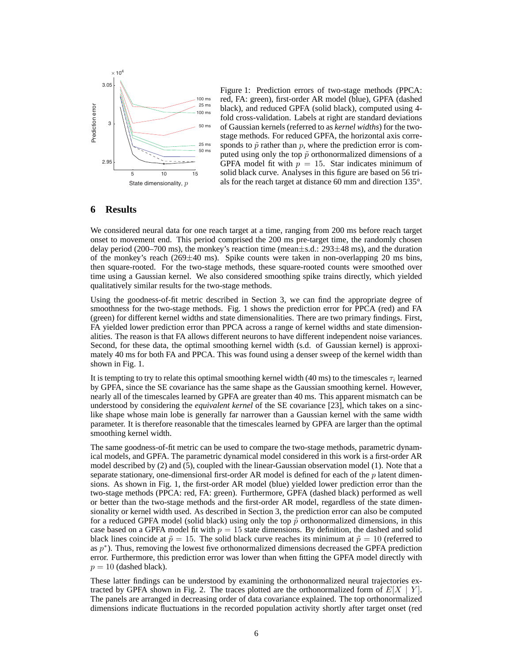

Figure 1: Prediction errors of two-stage methods (PPCA: red, FA: green), first-order AR model (blue), GPFA (dashed black), and reduced GPFA (solid black), computed using 4 fold cross-validation. Labels at right are standard deviations of Gaussian kernels (referred to as *kernel widths*) for the twostage methods. For reduced GPFA, the horizontal axis corresponds to  $\tilde{p}$  rather than p, where the prediction error is computed using only the top  $\tilde{p}$  orthonormalized dimensions of a GPFA model fit with  $p = 15$ . Star indicates minimum of solid black curve. Analyses in this figure are based on 56 trials for the reach target at distance 60 mm and direction 135°.

# **6 Results**

We considered neural data for one reach target at a time, ranging from 200 ms before reach target onset to movement end. This period comprised the 200 ms pre-target time, the randomly chosen delay period (200–700 ms), the monkey's reaction time (mean $\pm$ s.d.: 293 $\pm$ 48 ms), and the duration of the monkey's reach  $(269 \pm 40 \text{ ms})$ . Spike counts were taken in non-overlapping 20 ms bins, then square-rooted. For the two-stage methods, these square-rooted counts were smoothed over time using a Gaussian kernel. We also considered smoothing spike trains directly, which yielded qualitatively similar results for the two-stage methods.

Using the goodness-of-fit metric described in Section 3, we can find the appropriate degree of smoothness for the two-stage methods. Fig. 1 shows the prediction error for PPCA (red) and FA (green) for different kernel widths and state dimensionalities. There are two primary findings. First, FA yielded lower prediction error than PPCA across a range of kernel widths and state dimensionalities. The reason is that FA allows different neurons to have different independent noise variances. Second, for these data, the optimal smoothing kernel width (s.d. of Gaussian kernel) is approximately 40 ms for both FA and PPCA. This was found using a denser sweep of the kernel width than shown in Fig. 1.

It is tempting to try to relate this optimal smoothing kernel width  $(40 \text{ ms})$  to the timescales  $\tau_i$  learned by GPFA, since the SE covariance has the same shape as the Gaussian smoothing kernel. However, nearly all of the timescales learned by GPFA are greater than 40 ms. This apparent mismatch can be understood by considering the *equivalent kernel* of the SE covariance [23], which takes on a sinclike shape whose main lobe is generally far narrower than a Gaussian kernel with the same width parameter. It is therefore reasonable that the timescales learned by GPFA are larger than the optimal smoothing kernel width.

The same goodness-of-fit metric can be used to compare the two-stage methods, parametric dynamical models, and GPFA. The parametric dynamical model considered in this work is a first-order AR model described by (2) and (5), coupled with the linear-Gaussian observation model (1). Note that a separate stationary, one-dimensional first-order AR model is defined for each of the  $p$  latent dimensions. As shown in Fig. 1, the first-order AR model (blue) yielded lower prediction error than the two-stage methods (PPCA: red, FA: green). Furthermore, GPFA (dashed black) performed as well or better than the two-stage methods and the first-order AR model, regardless of the state dimensionality or kernel width used. As described in Section 3, the prediction error can also be computed for a reduced GPFA model (solid black) using only the top  $\tilde{p}$  orthonormalized dimensions, in this case based on a GPFA model fit with  $p = 15$  state dimensions. By definition, the dashed and solid black lines coincide at  $\tilde{p} = 15$ . The solid black curve reaches its minimum at  $\tilde{p} = 10$  (referred to as  $p<sup>*</sup>$ ). Thus, removing the lowest five orthonormalized dimensions decreased the GPFA prediction error. Furthermore, this prediction error was lower than when fitting the GPFA model directly with  $p = 10$  (dashed black).

These latter findings can be understood by examining the orthonormalized neural trajectories extracted by GPFA shown in Fig. 2. The traces plotted are the orthonormalized form of  $E[X \mid Y]$ . The panels are arranged in decreasing order of data covariance explained. The top orthonormalized dimensions indicate fluctuations in the recorded population activity shortly after target onset (red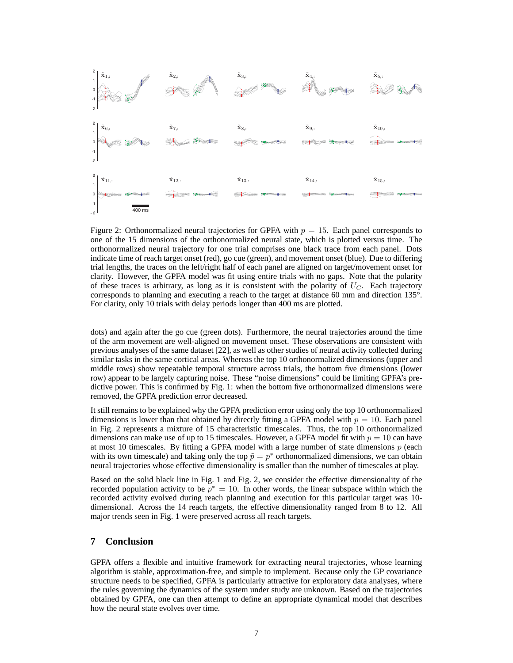

Figure 2: Orthonormalized neural trajectories for GPFA with  $p = 15$ . Each panel corresponds to one of the 15 dimensions of the orthonormalized neural state, which is plotted versus time. The orthonormalized neural trajectory for one trial comprises one black trace from each panel. Dots indicate time of reach target onset (red), go cue (green), and movement onset (blue). Due to differing trial lengths, the traces on the left/right half of each panel are aligned on target/movement onset for clarity. However, the GPFA model was fit using entire trials with no gaps. Note that the polarity of these traces is arbitrary, as long as it is consistent with the polarity of  $U_C$ . Each trajectory corresponds to planning and executing a reach to the target at distance 60 mm and direction 135°. For clarity, only 10 trials with delay periods longer than 400 ms are plotted.

dots) and again after the go cue (green dots). Furthermore, the neural trajectories around the time of the arm movement are well-aligned on movement onset. These observations are consistent with previous analyses of the same dataset [22], as well as other studies of neural activity collected during similar tasks in the same cortical areas. Whereas the top 10 orthonormalized dimensions (upper and middle rows) show repeatable temporal structure across trials, the bottom five dimensions (lower row) appear to be largely capturing noise. These "noise dimensions" could be limiting GPFA's predictive power. This is confirmed by Fig. 1: when the bottom five orthonormalized dimensions were removed, the GPFA prediction error decreased.

It still remains to be explained why the GPFA prediction error using only the top 10 orthonormalized dimensions is lower than that obtained by directly fitting a GPFA model with  $p = 10$ . Each panel in Fig. 2 represents a mixture of 15 characteristic timescales. Thus, the top 10 orthonormalized dimensions can make use of up to 15 timescales. However, a GPFA model fit with  $p = 10$  can have at most 10 timescales. By fitting a GPFA model with a large number of state dimensions  $p$  (each with its own timescale) and taking only the top  $\tilde{p} = p^*$  orthonormalized dimensions, we can obtain neural trajectories whose effective dimensionality is smaller than the number of timescales at play.

Based on the solid black line in Fig. 1 and Fig. 2, we consider the effective dimensionality of the recorded population activity to be  $p^* = 10$ . In other words, the linear subspace within which the recorded activity evolved during reach planning and execution for this particular target was 10 dimensional. Across the 14 reach targets, the effective dimensionality ranged from 8 to 12. All major trends seen in Fig. 1 were preserved across all reach targets.

## **7 Conclusion**

GPFA offers a flexible and intuitive framework for extracting neural trajectories, whose learning algorithm is stable, approximation-free, and simple to implement. Because only the GP covariance structure needs to be specified, GPFA is particularly attractive for exploratory data analyses, where the rules governing the dynamics of the system under study are unknown. Based on the trajectories obtained by GPFA, one can then attempt to define an appropriate dynamical model that describes how the neural state evolves over time.